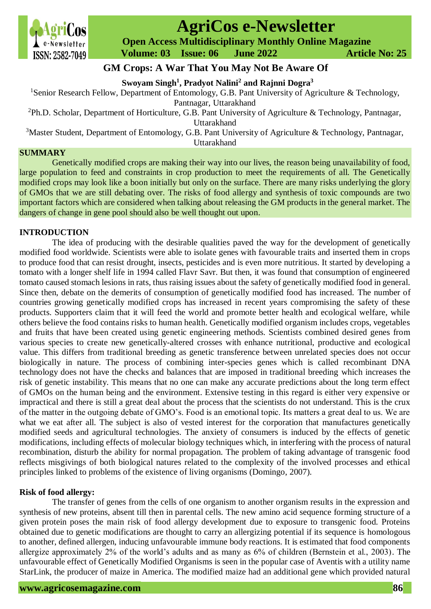

# **AgriCos e-Newsletter**

 **Open Access Multidisciplinary Monthly Online Magazine**

 **Volume: 03 Issue: 06 June 2022 Article No: 25**

# **GM Crops: A War That You May Not Be Aware Of**

**Swoyam Singh<sup>1</sup> , Pradyot Nalini<sup>2</sup> and Rajnni Dogra<sup>3</sup>**

<sup>1</sup>Senior Research Fellow, Department of Entomology, G.B. Pant University of Agriculture & Technology, Pantnagar, Uttarakhand

<sup>2</sup>Ph.D. Scholar, Department of Horticulture, G.B. Pant University of Agriculture & Technology, Pantnagar,

Uttarakhand

<sup>3</sup>Master Student, Department of Entomology, G.B. Pant University of Agriculture & Technology, Pantnagar, Uttarakhand

### **SUMMARY**

Genetically modified crops are making their way into our lives, the reason being unavailability of food, large population to feed and constraints in crop production to meet the requirements of all. The Genetically modified crops may look like a boon initially but only on the surface. There are many risks underlying the glory of GMOs that we are still debating over. The risks of food allergy and synthesis of toxic compounds are two important factors which are considered when talking about releasing the GM products in the general market. The dangers of change in gene pool should also be well thought out upon.

# **INTRODUCTION**

The idea of producing with the desirable qualities paved the way for the development of genetically modified food worldwide. Scientists were able to isolate genes with favourable traits and inserted them in crops to produce food that can resist drought, insects, pesticides and is even more nutritious. It started by developing a tomato with a longer shelf life in 1994 called Flavr Savr. But then, it was found that consumption of engineered tomato caused stomach lesions in rats, thus raising issues about the safety of genetically modified food in general. Since then, debate on the demerits of consumption of genetically modified food has increased. The number of countries growing genetically modified crops has increased in recent years compromising the safety of these products. Supporters claim that it will feed the world and promote better health and ecological welfare, while others believe the food contains risks to human health. Genetically modified organism includes crops, vegetables and fruits that have been created using genetic engineering methods. Scientists combined desired genes from various species to create new genetically-altered crosses with enhance nutritional, productive and ecological value. This differs from traditional breeding as genetic transference between unrelated species does not occur biologically in nature. The process of combining inter-species genes which is called recombinant DNA technology does not have the checks and balances that are imposed in traditional breeding which increases the risk of genetic instability. This means that no one can make any accurate predictions about the long term effect of GMOs on the human being and the environment. Extensive testing in this regard is either very expensive or impractical and there is still a great deal about the process that the scientists do not understand. This is the crux of the matter in the outgoing debate of GMO's. Food is an emotional topic. Its matters a great deal to us. We are what we eat after all. The subject is also of vested interest for the corporation that manufactures genetically modified seeds and agricultural technologies. The anxiety of consumers is induced by the effects of genetic modifications, including effects of molecular biology techniques which, in interfering with the process of natural recombination, disturb the ability for normal propagation. The problem of taking advantage of transgenic food reflects misgivings of both biological natures related to the complexity of the involved processes and ethical principles linked to problems of the existence of living organisms (Domingo, 2007).

## **Risk of food allergy:**

The transfer of genes from the cells of one organism to another organism results in the expression and synthesis of new proteins, absent till then in parental cells. The new amino acid sequence forming structure of a given protein poses the main risk of food allergy development due to exposure to transgenic food. Proteins obtained due to genetic modifications are thought to carry an allergizing potential if its sequence is homologous to another, defined allergen, inducing unfavourable immune body reactions. It is estimated that food components allergize approximately 2% of the world's adults and as many as 6% of children (Bernstein et al., 2003). The unfavourable effect of Genetically Modified Organisms is seen in the popular case of Aventis with a utility name StarLink, the producer of maize in America. The modified maize had an additional gene which provided natural